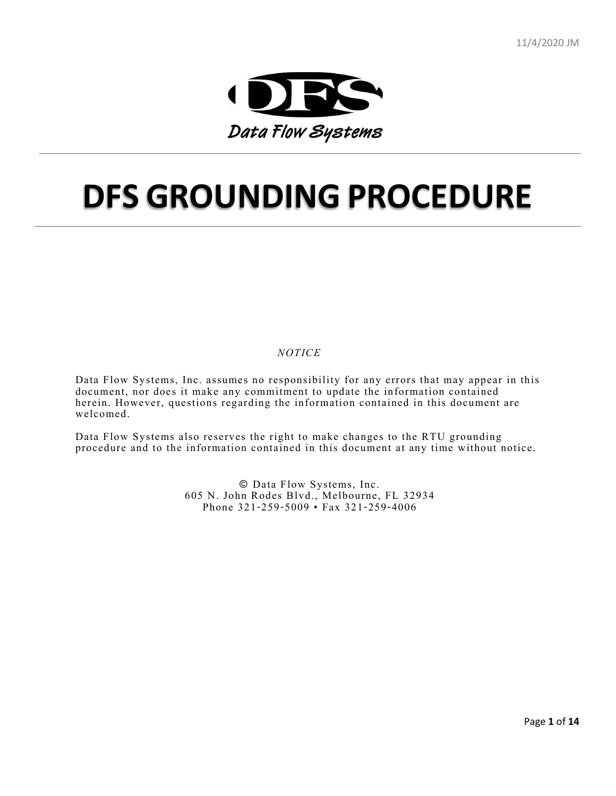

# **DFS GROUNDING PROCEDURE**

*NOTICE*

Data Flow Systems, Inc. assumes no responsibility for any errors that may appear in this document, nor does it make any commitment to update the information contained herein. However, questions regarding the information contained in this document are welcomed.

Data Flow Systems also reserves the right to make changes to the RTU grounding procedure and to the information contained in this document at any time without notice.

> © Data Flow Systems, Inc. 605 N. John Rodes Blvd., Melbourne, FL 32934 Phone 321-259-5009 • Fax 321-259-4006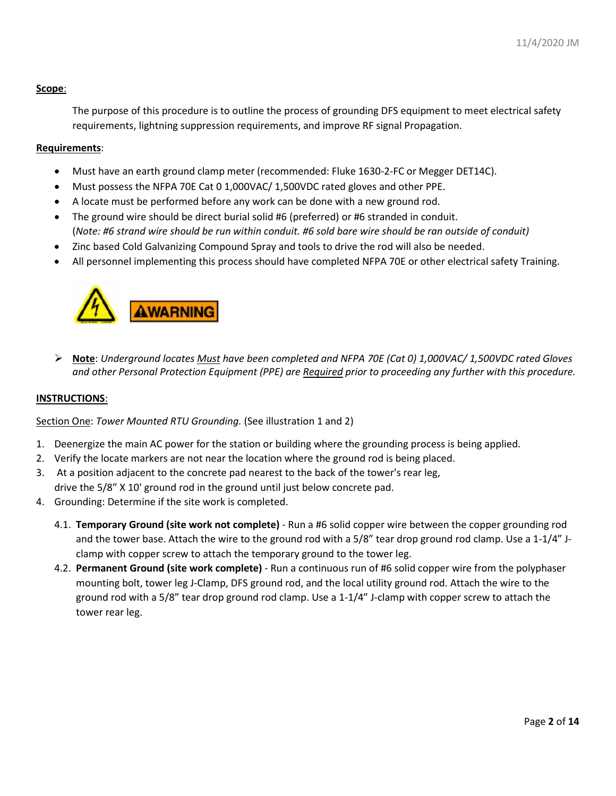## **Scope**:

The purpose of this procedure is to outline the process of grounding DFS equipment to meet electrical safety requirements, lightning suppression requirements, and improve RF signal Propagation.

### **Requirements**:

- Must have an earth ground clamp meter (recommended: Fluke 1630-2-FC or Megger DET14C).
- Must possess the NFPA 70E Cat 0 1,000VAC/ 1,500VDC rated gloves and other PPE.
- A locate must be performed before any work can be done with a new ground rod.
- The ground wire should be direct burial solid #6 (preferred) or #6 stranded in conduit. (*Note: #6 strand wire should be run within conduit. #6 sold bare wire should be ran outside of conduit)*
- Zinc based Cold Galvanizing Compound Spray and tools to drive the rod will also be needed.
- All personnel implementing this process should have completed NFPA 70E or other electrical safety Training.



 **Note**: *Underground locates Must have been completed and NFPA 70E (Cat 0) 1,000VAC/ 1,500VDC rated Gloves and other Personal Protection Equipment (PPE) are Required prior to proceeding any further with this procedure.*

#### **INSTRUCTIONS**:

Section One: *Tower Mounted RTU Grounding.* (See illustration 1 and 2)

- 1. Deenergize the main AC power for the station or building where the grounding process is being applied.
- 2. Verify the locate markers are not near the location where the ground rod is being placed.
- 3. At a position adjacent to the concrete pad nearest to the back of the tower's rear leg, drive the 5/8" X 10' ground rod in the ground until just below concrete pad.
- 4. Grounding: Determine if the site work is completed.
	- 4.1. **Temporary Ground (site work not complete)** Run a #6 solid copper wire between the copper grounding rod and the tower base. Attach the wire to the ground rod with a 5/8" tear drop ground rod clamp. Use a 1-1/4" Jclamp with copper screw to attach the temporary ground to the tower leg.
	- 4.2. **Permanent Ground (site work complete)** Run a continuous run of #6 solid copper wire from the polyphaser mounting bolt, tower leg J-Clamp, DFS ground rod, and the local utility ground rod. Attach the wire to the ground rod with a 5/8" tear drop ground rod clamp. Use a 1-1/4" J-clamp with copper screw to attach the tower rear leg.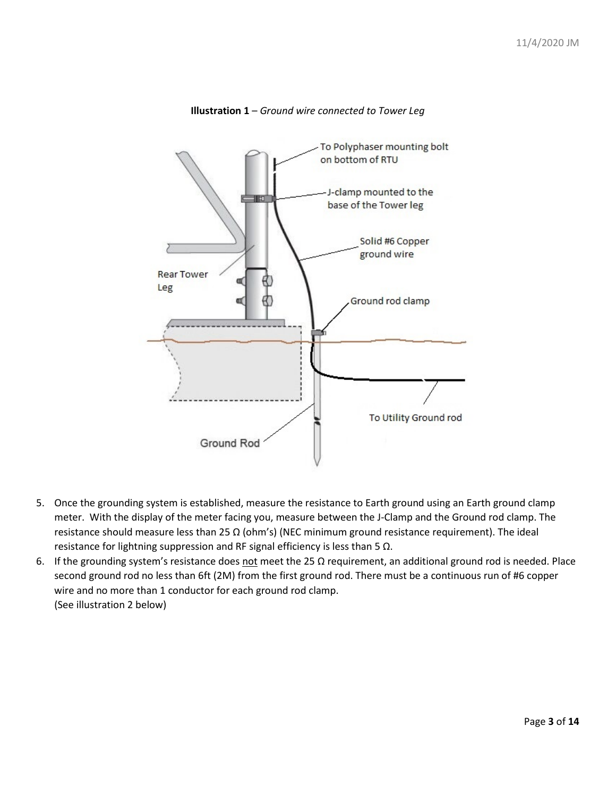

**Illustration 1** – *Ground wire connected to Tower Leg*

- 5. Once the grounding system is established, measure the resistance to Earth ground using an Earth ground clamp meter. With the display of the meter facing you, measure between the J-Clamp and the Ground rod clamp. The resistance should measure less than 25  $\Omega$  (ohm's) (NEC minimum ground resistance requirement). The ideal resistance for lightning suppression and RF signal efficiency is less than 5 Ω.
- 6. If the grounding system's resistance does not meet the 25  $\Omega$  requirement, an additional ground rod is needed. Place second ground rod no less than 6ft (2M) from the first ground rod. There must be a continuous run of #6 copper wire and no more than 1 conductor for each ground rod clamp. (See illustration 2 below)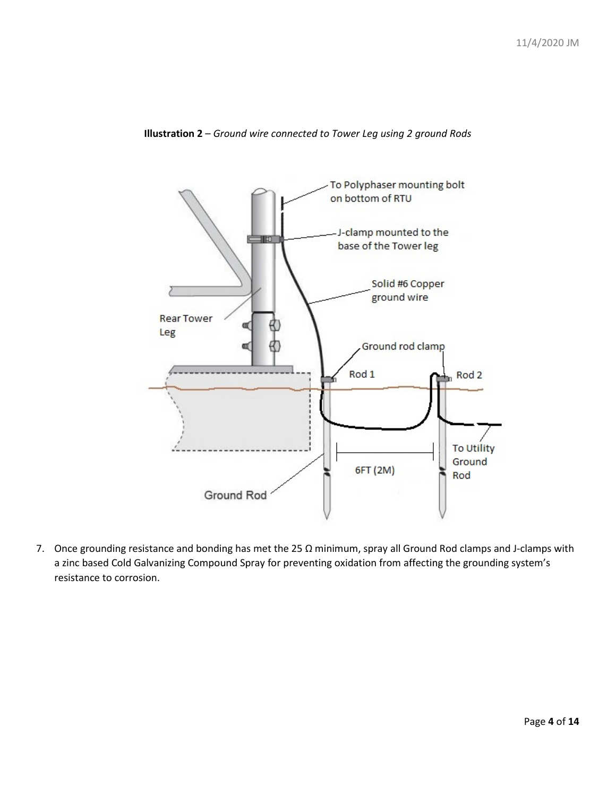



7. Once grounding resistance and bonding has met the 25 Ω minimum, spray all Ground Rod clamps and J-clamps with a zinc based Cold Galvanizing Compound Spray for preventing oxidation from affecting the grounding system's resistance to corrosion.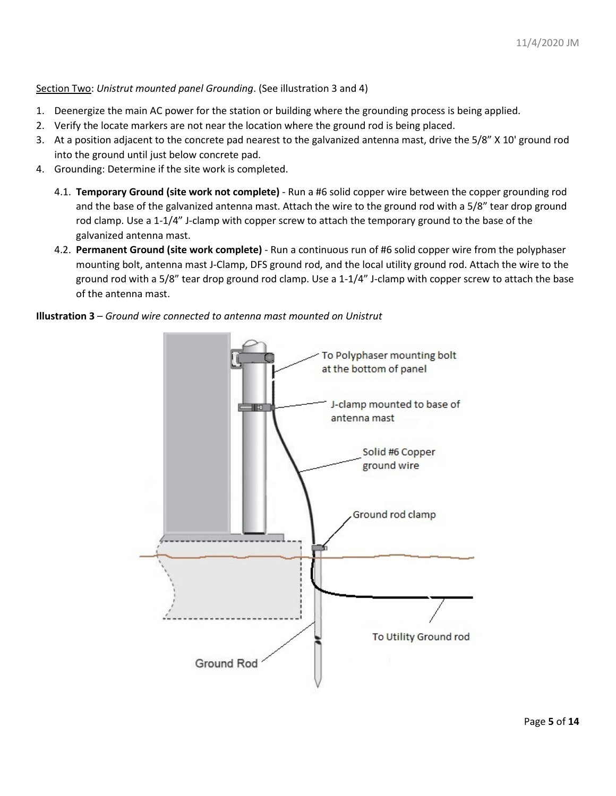Section Two: *Unistrut mounted panel Grounding*. (See illustration 3 and 4)

- 1. Deenergize the main AC power for the station or building where the grounding process is being applied.
- 2. Verify the locate markers are not near the location where the ground rod is being placed.
- 3. At a position adjacent to the concrete pad nearest to the galvanized antenna mast, drive the 5/8" X 10' ground rod into the ground until just below concrete pad.
- 4. Grounding: Determine if the site work is completed.
	- 4.1. **Temporary Ground (site work not complete)** Run a #6 solid copper wire between the copper grounding rod and the base of the galvanized antenna mast. Attach the wire to the ground rod with a 5/8" tear drop ground rod clamp. Use a 1-1/4" J-clamp with copper screw to attach the temporary ground to the base of the galvanized antenna mast.
	- 4.2. **Permanent Ground (site work complete)** Run a continuous run of #6 solid copper wire from the polyphaser mounting bolt, antenna mast J-Clamp, DFS ground rod, and the local utility ground rod. Attach the wire to the ground rod with a 5/8" tear drop ground rod clamp. Use a 1-1/4" J-clamp with copper screw to attach the base of the antenna mast.

## **Illustration 3** – *Ground wire connected to antenna mast mounted on Unistrut*

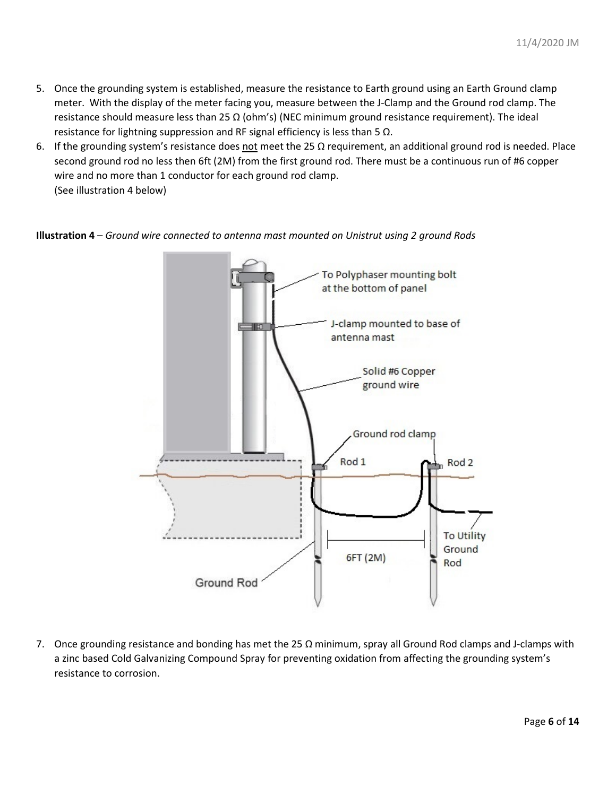- 5. Once the grounding system is established, measure the resistance to Earth ground using an Earth Ground clamp meter. With the display of the meter facing you, measure between the J-Clamp and the Ground rod clamp. The resistance should measure less than 25  $\Omega$  (ohm's) (NEC minimum ground resistance requirement). The ideal resistance for lightning suppression and RF signal efficiency is less than 5 Ω.
- 6. If the grounding system's resistance does not meet the 25  $\Omega$  requirement, an additional ground rod is needed. Place second ground rod no less then 6ft (2M) from the first ground rod. There must be a continuous run of #6 copper wire and no more than 1 conductor for each ground rod clamp. (See illustration 4 below)

**Illustration 4** – *Ground wire connected to antenna mast mounted on Unistrut using 2 ground Rods*



7. Once grounding resistance and bonding has met the 25 Ω minimum, spray all Ground Rod clamps and J-clamps with a zinc based Cold Galvanizing Compound Spray for preventing oxidation from affecting the grounding system's resistance to corrosion.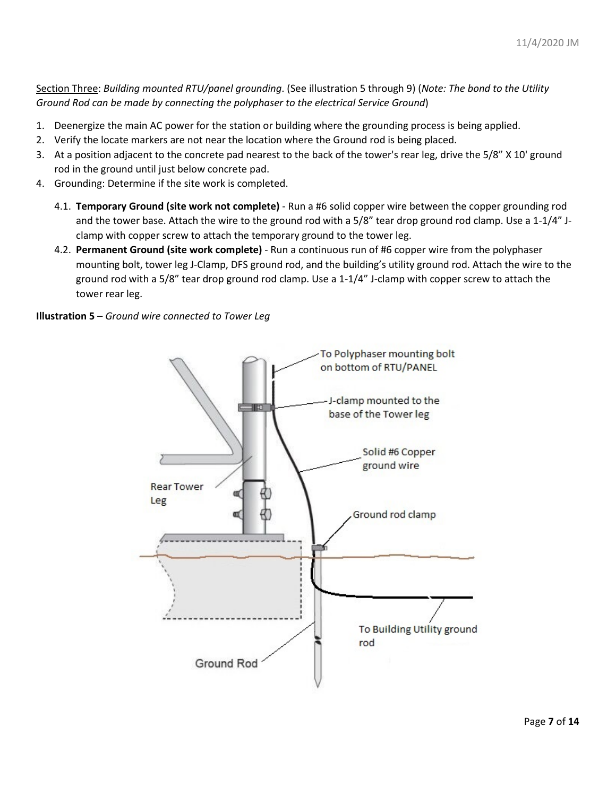Section Three: *Building mounted RTU/panel grounding*. (See illustration 5 through 9) (*Note: The bond to the Utility Ground Rod can be made by connecting the polyphaser to the electrical Service Ground*)

- 1. Deenergize the main AC power for the station or building where the grounding process is being applied.
- 2. Verify the locate markers are not near the location where the Ground rod is being placed.
- 3. At a position adjacent to the concrete pad nearest to the back of the tower's rear leg, drive the 5/8" X 10' ground rod in the ground until just below concrete pad.
- 4. Grounding: Determine if the site work is completed.
	- 4.1. **Temporary Ground (site work not complete)** Run a #6 solid copper wire between the copper grounding rod and the tower base. Attach the wire to the ground rod with a 5/8" tear drop ground rod clamp. Use a 1-1/4" Jclamp with copper screw to attach the temporary ground to the tower leg.
	- 4.2. **Permanent Ground (site work complete)** Run a continuous run of #6 copper wire from the polyphaser mounting bolt, tower leg J-Clamp, DFS ground rod, and the building's utility ground rod. Attach the wire to the ground rod with a 5/8" tear drop ground rod clamp. Use a 1-1/4" J-clamp with copper screw to attach the tower rear leg.

**Illustration 5** – *Ground wire connected to Tower Leg*

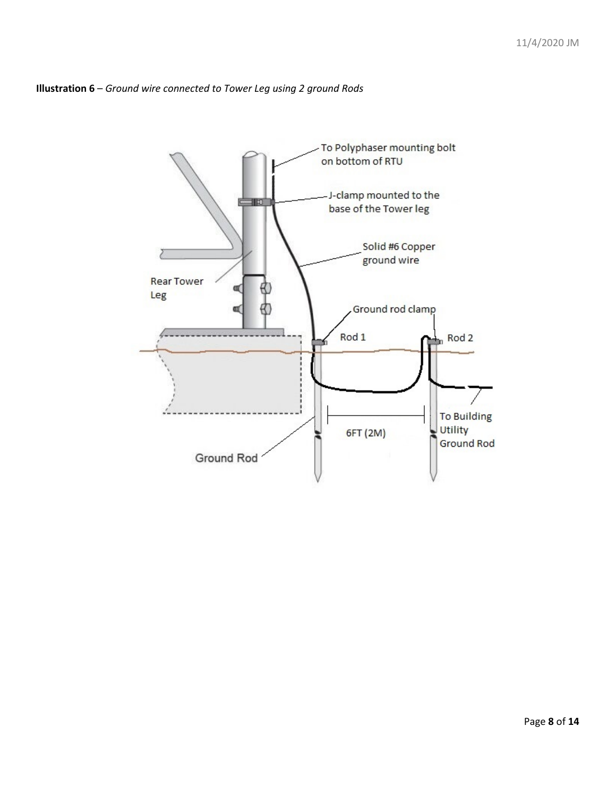

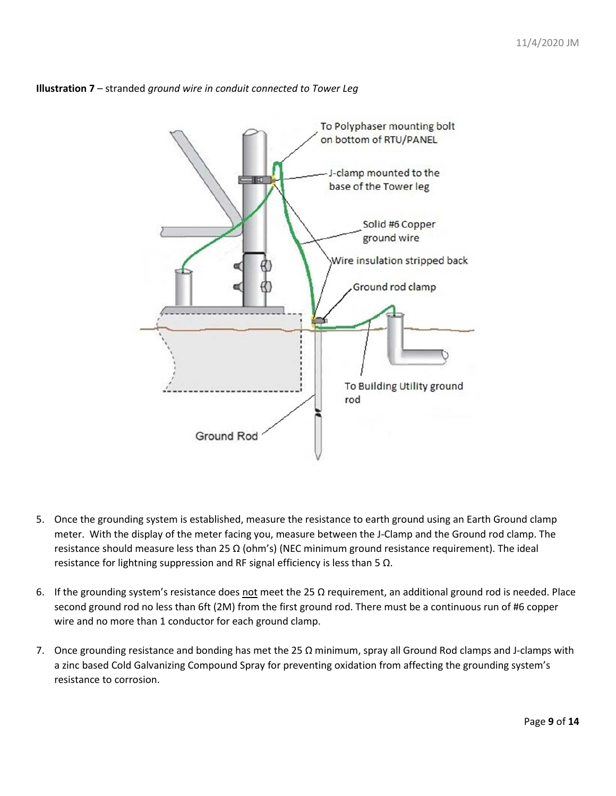

## **Illustration 7** – stranded *ground wire in conduit connected to Tower Leg*

- 5. Once the grounding system is established, measure the resistance to earth ground using an Earth Ground clamp meter. With the display of the meter facing you, measure between the J-Clamp and the Ground rod clamp. The resistance should measure less than 25  $\Omega$  (ohm's) (NEC minimum ground resistance requirement). The ideal resistance for lightning suppression and RF signal efficiency is less than 5 Ω.
- 6. If the grounding system's resistance does not meet the 25  $\Omega$  requirement, an additional ground rod is needed. Place second ground rod no less than 6ft (2M) from the first ground rod. There must be a continuous run of #6 copper wire and no more than 1 conductor for each ground clamp.
- 7. Once grounding resistance and bonding has met the 25 Ω minimum, spray all Ground Rod clamps and J-clamps with a zinc based Cold Galvanizing Compound Spray for preventing oxidation from affecting the grounding system's resistance to corrosion.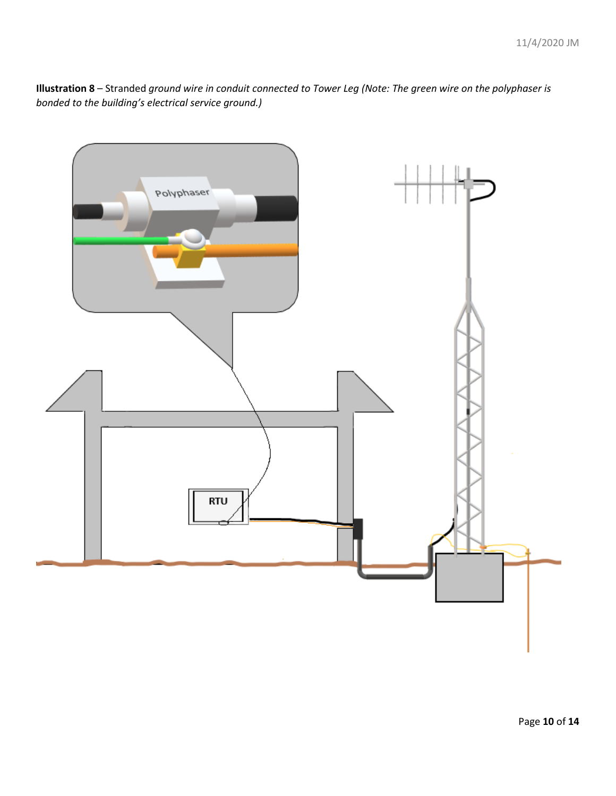**Illustration 8** – Stranded *ground wire in conduit connected to Tower Leg (Note: The green wire on the polyphaser is bonded to the building's electrical service ground.)*

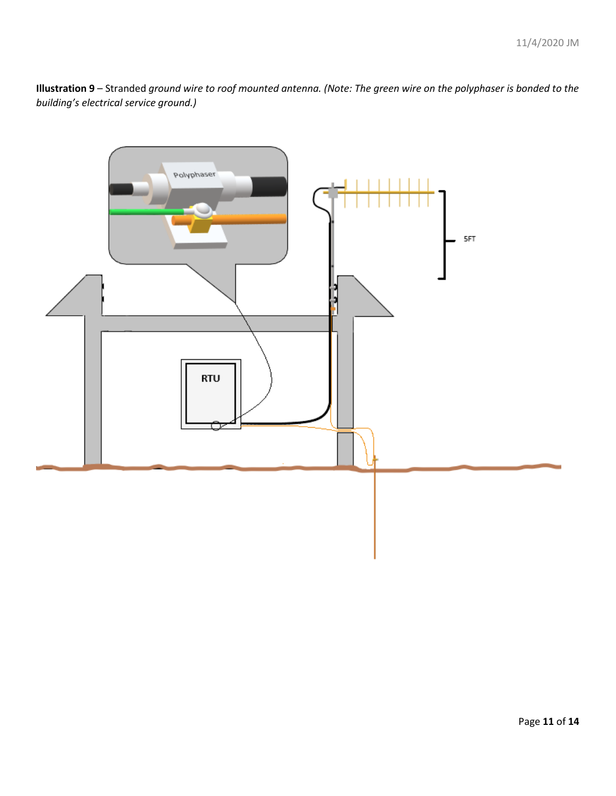**Illustration 9** – Stranded *ground wire to roof mounted antenna. (Note: The green wire on the polyphaser is bonded to the building's electrical service ground.)*

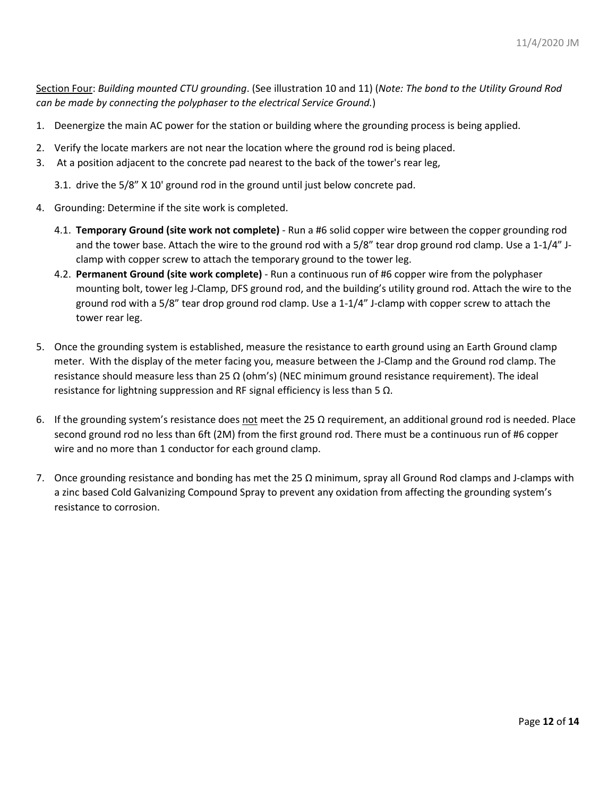Section Four: *Building mounted CTU grounding*. (See illustration 10 and 11) (*Note: The bond to the Utility Ground Rod can be made by connecting the polyphaser to the electrical Service Ground.*)

- 1. Deenergize the main AC power for the station or building where the grounding process is being applied.
- 2. Verify the locate markers are not near the location where the ground rod is being placed.
- 3. At a position adjacent to the concrete pad nearest to the back of the tower's rear leg,
	- 3.1. drive the 5/8" X 10' ground rod in the ground until just below concrete pad.
- 4. Grounding: Determine if the site work is completed.
	- 4.1. **Temporary Ground (site work not complete)** Run a #6 solid copper wire between the copper grounding rod and the tower base. Attach the wire to the ground rod with a 5/8" tear drop ground rod clamp. Use a 1-1/4" Jclamp with copper screw to attach the temporary ground to the tower leg.
	- 4.2. **Permanent Ground (site work complete)** Run a continuous run of #6 copper wire from the polyphaser mounting bolt, tower leg J-Clamp, DFS ground rod, and the building's utility ground rod. Attach the wire to the ground rod with a 5/8" tear drop ground rod clamp. Use a 1-1/4" J-clamp with copper screw to attach the tower rear leg.
- 5. Once the grounding system is established, measure the resistance to earth ground using an Earth Ground clamp meter. With the display of the meter facing you, measure between the J-Clamp and the Ground rod clamp. The resistance should measure less than 25  $\Omega$  (ohm's) (NEC minimum ground resistance requirement). The ideal resistance for lightning suppression and RF signal efficiency is less than 5 Ω.
- 6. If the grounding system's resistance does not meet the 25  $\Omega$  requirement, an additional ground rod is needed. Place second ground rod no less than 6ft (2M) from the first ground rod. There must be a continuous run of #6 copper wire and no more than 1 conductor for each ground clamp.
- 7. Once grounding resistance and bonding has met the 25 Ω minimum, spray all Ground Rod clamps and J-clamps with a zinc based Cold Galvanizing Compound Spray to prevent any oxidation from affecting the grounding system's resistance to corrosion.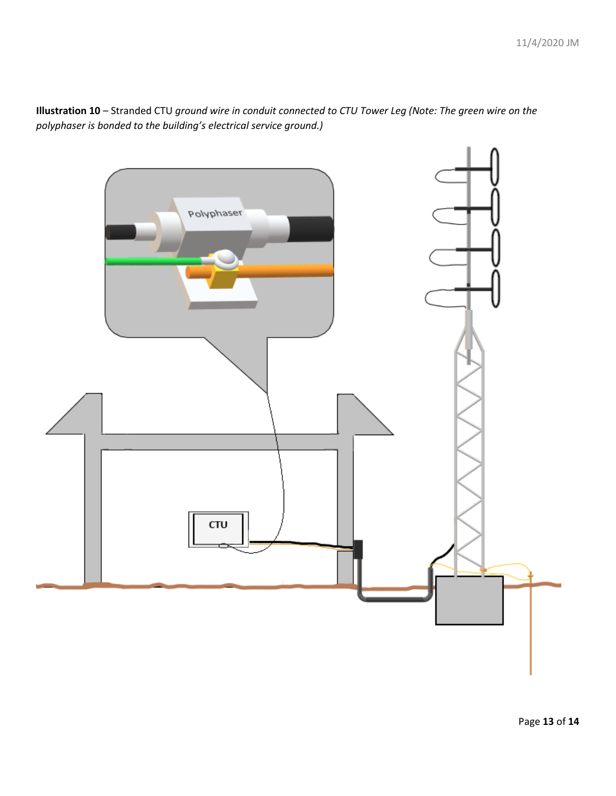

**Illustration 10** – Stranded CTU *ground wire in conduit connected to CTU Tower Leg (Note: The green wire on the polyphaser is bonded to the building's electrical service ground.)*